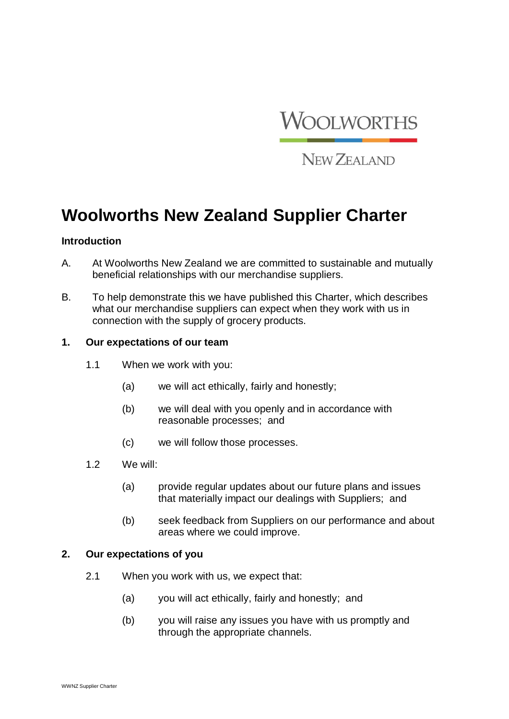

NEW ZEALAND

# **Woolworths New Zealand Supplier Charter**

#### **Introduction**

- A. At Woolworths New Zealand we are committed to sustainable and mutually beneficial relationships with our merchandise suppliers.
- B. To help demonstrate this we have published this Charter, which describes what our merchandise suppliers can expect when they work with us in connection with the supply of grocery products.

## **1. Our expectations of our team**

- 1.1 When we work with you:
	- (a) we will act ethically, fairly and honestly;
	- (b) we will deal with you openly and in accordance with reasonable processes; and
	- (c) we will follow those processes.
- 1.2 We will:
	- (a) provide regular updates about our future plans and issues that materially impact our dealings with Suppliers; and
	- (b) seek feedback from Suppliers on our performance and about areas where we could improve.

#### **2. Our expectations of you**

- 2.1 When you work with us, we expect that:
	- (a) you will act ethically, fairly and honestly; and
	- (b) you will raise any issues you have with us promptly and through the appropriate channels.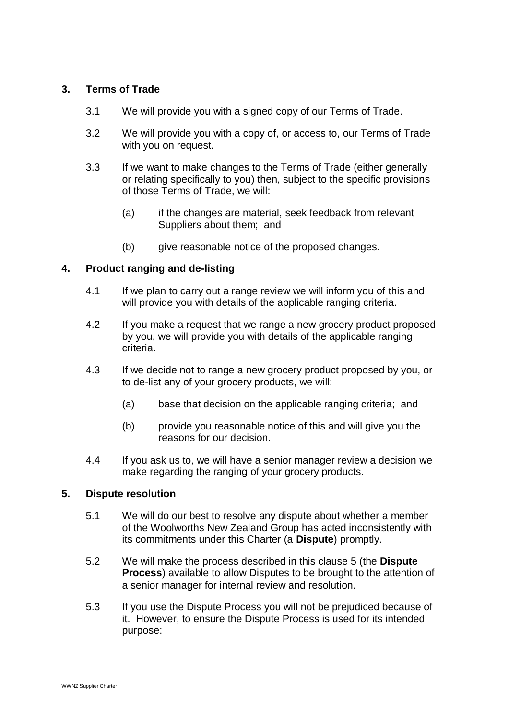# **3. Terms of Trade**

- 3.1 We will provide you with a signed copy of our Terms of Trade.
- 3.2 We will provide you with a copy of, or access to, our Terms of Trade with you on request.
- 3.3 If we want to make changes to the Terms of Trade (either generally or relating specifically to you) then, subject to the specific provisions of those Terms of Trade, we will:
	- (a) if the changes are material, seek feedback from relevant Suppliers about them; and
	- (b) give reasonable notice of the proposed changes.

# **4. Product ranging and de-listing**

- 4.1 If we plan to carry out a range review we will inform you of this and will provide you with details of the applicable ranging criteria.
- 4.2 If you make a request that we range a new grocery product proposed by you, we will provide you with details of the applicable ranging criteria.
- 4.3 If we decide not to range a new grocery product proposed by you, or to de-list any of your grocery products, we will:
	- (a) base that decision on the applicable ranging criteria; and
	- (b) provide you reasonable notice of this and will give you the reasons for our decision.
- 4.4 If you ask us to, we will have a senior manager review a decision we make regarding the ranging of your grocery products.

## **5. Dispute resolution**

- 5.1 We will do our best to resolve any dispute about whether a member of the Woolworths New Zealand Group has acted inconsistently with its commitments under this Charter (a **Dispute**) promptly.
- 5.2 We will make the process described in this clause 5 (the **Dispute Process**) available to allow Disputes to be brought to the attention of a senior manager for internal review and resolution.
- 5.3 If you use the Dispute Process you will not be prejudiced because of it. However, to ensure the Dispute Process is used for its intended purpose: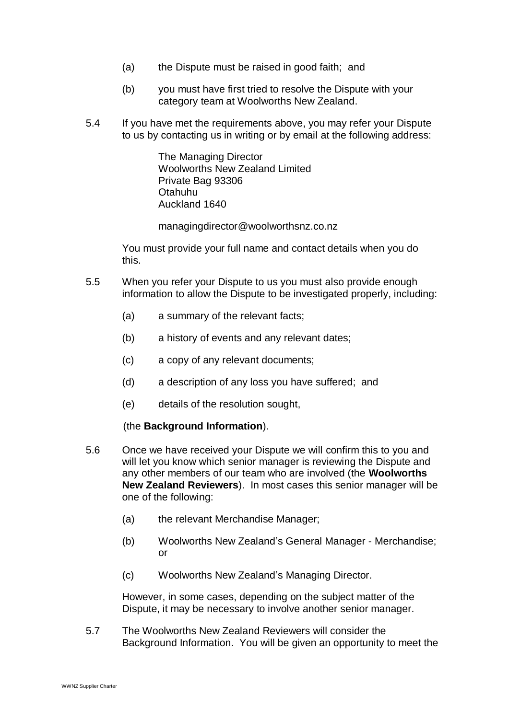- (a) the Dispute must be raised in good faith; and
- (b) you must have first tried to resolve the Dispute with your category team at Woolworths New Zealand.
- 5.4 If you have met the requirements above, you may refer your Dispute to us by contacting us in writing or by email at the following address:

The Managing Director Woolworths New Zealand Limited Private Bag 93306 Otahuhu Auckland 1640

managingdirector@woolworthsnz.co.nz

You must provide your full name and contact details when you do this.

- 5.5 When you refer your Dispute to us you must also provide enough information to allow the Dispute to be investigated properly, including:
	- (a) a summary of the relevant facts;
	- (b) a history of events and any relevant dates;
	- (c) a copy of any relevant documents;
	- (d) a description of any loss you have suffered; and
	- (e) details of the resolution sought,

#### (the **Background Information**).

- 5.6 Once we have received your Dispute we will confirm this to you and will let you know which senior manager is reviewing the Dispute and any other members of our team who are involved (the **Woolworths New Zealand Reviewers**). In most cases this senior manager will be one of the following:
	- (a) the relevant Merchandise Manager;
	- (b) Woolworths New Zealand's General Manager Merchandise; or
	- (c) Woolworths New Zealand's Managing Director.

However, in some cases, depending on the subject matter of the Dispute, it may be necessary to involve another senior manager.

5.7 The Woolworths New Zealand Reviewers will consider the Background Information. You will be given an opportunity to meet the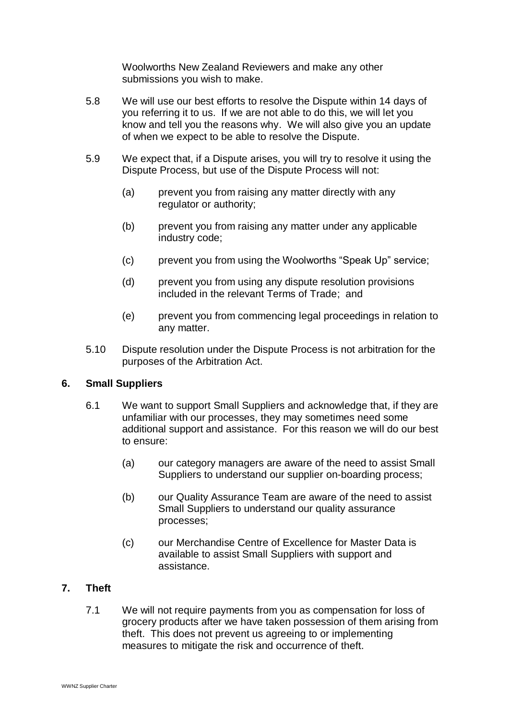Woolworths New Zealand Reviewers and make any other submissions you wish to make.

- 5.8 We will use our best efforts to resolve the Dispute within 14 days of you referring it to us. If we are not able to do this, we will let you know and tell you the reasons why. We will also give you an update of when we expect to be able to resolve the Dispute.
- 5.9 We expect that, if a Dispute arises, you will try to resolve it using the Dispute Process, but use of the Dispute Process will not:
	- (a) prevent you from raising any matter directly with any regulator or authority;
	- (b) prevent you from raising any matter under any applicable industry code;
	- (c) prevent you from using the Woolworths "Speak Up" service;
	- (d) prevent you from using any dispute resolution provisions included in the relevant Terms of Trade; and
	- (e) prevent you from commencing legal proceedings in relation to any matter.
- 5.10 Dispute resolution under the Dispute Process is not arbitration for the purposes of the Arbitration Act.

## **6. Small Suppliers**

- 6.1 We want to support Small Suppliers and acknowledge that, if they are unfamiliar with our processes, they may sometimes need some additional support and assistance. For this reason we will do our best to ensure:
	- (a) our category managers are aware of the need to assist Small Suppliers to understand our supplier on-boarding process;
	- (b) our Quality Assurance Team are aware of the need to assist Small Suppliers to understand our quality assurance processes;
	- (c) our Merchandise Centre of Excellence for Master Data is available to assist Small Suppliers with support and assistance.

## **7. Theft**

7.1 We will not require payments from you as compensation for loss of grocery products after we have taken possession of them arising from theft. This does not prevent us agreeing to or implementing measures to mitigate the risk and occurrence of theft.